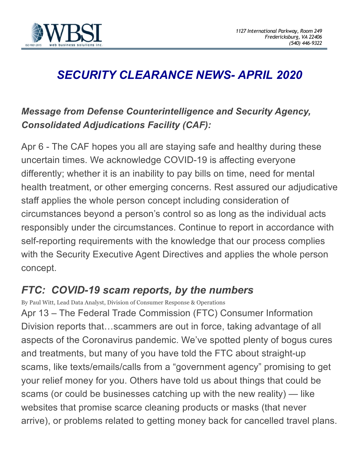

## *SECURITY CLEARANCE NEWS- APRIL 2020*

## *Message from Defense Counterintelligence and Security Agency, Consolidated Adjudications Facility (CAF):*

Apr 6 - The CAF hopes you all are staying safe and healthy during these uncertain times. We acknowledge COVID-19 is affecting everyone differently; whether it is an inability to pay bills on time, need for mental health treatment, or other emerging concerns. Rest assured our adjudicative staff applies the whole person concept including consideration of circumstances beyond a person's control so as long as the individual acts responsibly under the circumstances. Continue to report in accordance with self-reporting requirements with the knowledge that our process complies with the Security Executive Agent Directives and applies the whole person concept.

## *FTC: COVID-19 scam reports, by the numbers*

By Paul Witt, Lead Data Analyst, Division of Consumer Response & Operations Apr 13 – The Federal Trade Commission (FTC) Consumer Information Division reports that…scammers are out in force, taking advantage of all aspects of the Coronavirus pandemic. We've spotted plenty of bogus cures and treatments, but many of you have told the FTC about straight-up scams, like texts/emails/calls from a "government agency" promising to get your relief money for you. Others have told us about things that could be scams (or could be businesses catching up with the new reality) — like websites that promise scarce cleaning products or masks (that never arrive), or problems related to getting money back for cancelled travel plans.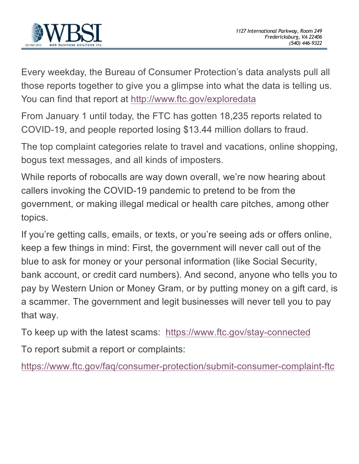

Every weekday, the Bureau of Consumer Protection's data analysts pull all those reports together to give you a glimpse into what the data is telling us. You can find that report at http://www.ftc.gov/exploredata

From January 1 until today, the FTC has gotten 18,235 reports related to COVID-19, and people reported losing \$13.44 million dollars to fraud.

The top complaint categories relate to travel and vacations, online shopping, bogus text messages, and all kinds of imposters.

While reports of robocalls are way down overall, we're now hearing about callers invoking the COVID-19 pandemic to pretend to be from the government, or making illegal medical or health care pitches, among other topics.

If you're getting calls, emails, or texts, or you're seeing ads or offers online, keep a few things in mind: First, the government will never call out of the blue to ask for money or your personal information (like Social Security, bank account, or credit card numbers). And second, anyone who tells you to pay by Western Union or Money Gram, or by putting money on a gift card, is a scammer. The government and legit businesses will never tell you to pay that way.

To keep up with the latest scams: https://www.ftc.gov/stay-connected

To report submit a report or complaints:

https://www.ftc.gov/faq/consumer-protection/submit-consumer-complaint-ftc